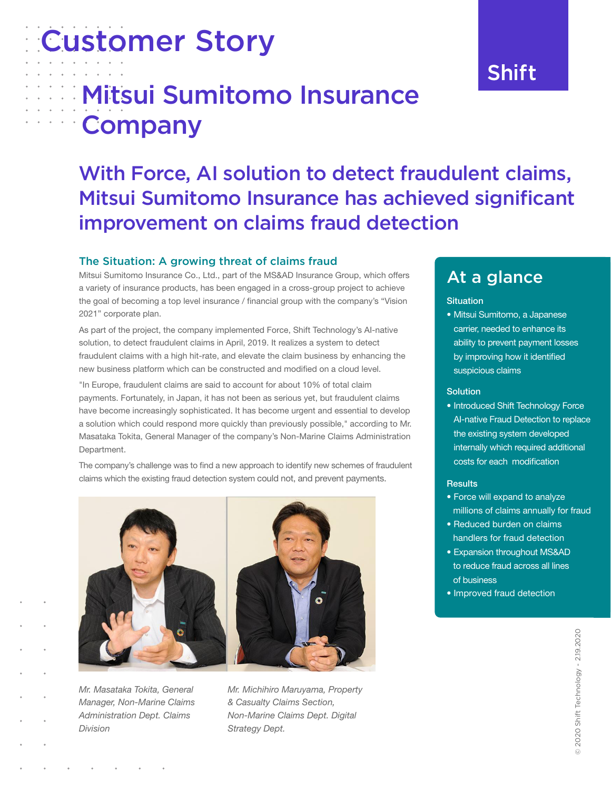# Customer Story

# **Mitsui Sumitomo Insurance** Company

## With Force, AI solution to detect fraudulent claims, Mitsui Sumitomo Insurance has achieved significant improvement on claims fraud detection

#### The Situation: A growing threat of claims fraud

Mitsui Sumitomo Insurance Co., Ltd., part of the MS&AD Insurance Group, which offers a variety of insurance products, has been engaged in a cross-group project to achieve the goal of becoming a top level insurance / financial group with the company's "Vision 2021" corporate plan.

As part of the project, the company implemented Force, Shift Technology's AI-native solution, to detect fraudulent claims in April, 2019. It realizes a system to detect fraudulent claims with a high hit-rate, and elevate the claim business by enhancing the new business platform which can be constructed and modified on a cloud level.

"In Europe, fraudulent claims are said to account for about 10% of total claim payments. Fortunately, in Japan, it has not been as serious yet, but fraudulent claims have become increasingly sophisticated. It has become urgent and essential to develop a solution which could respond more quickly than previously possible," according to Mr. Masataka Tokita, General Manager of the company's Non-Marine Claims Administration Department.

The company's challenge was to find a new approach to identify new schemes of fraudulent claims which the existing fraud detection system could not, and prevent payments.



Mr. Masataka Tokita, General Manager, Non-Marine Claims Administration Dept. Claims Division



Mr. Michihiro Maruyama, Property & Casualty Claims Section, Non-Marine Claims Dept. Digital Strategy Dept.

### At a glance

#### **Situation**

• Mitsui Sumitomo, a Japanese carrier, needed to enhance its ability to prevent payment losses by improving how it identified suspicious claims

#### **Solution**

• Introduced Shift Technology Force AI-native Fraud Detection to replace the existing system developed internally which required additional costs for each modification

#### Results

- Force will expand to analyze millions of claims annually for fraud
- Reduced burden on claims handlers for fraud detection
- Expansion throughout MS&AD to reduce fraud across all lines of business
- Improved fraud detection

2020 Shift Technology - 2.19.2020 © 2020 Shift Technology - 2.19.2020

## **Shift**